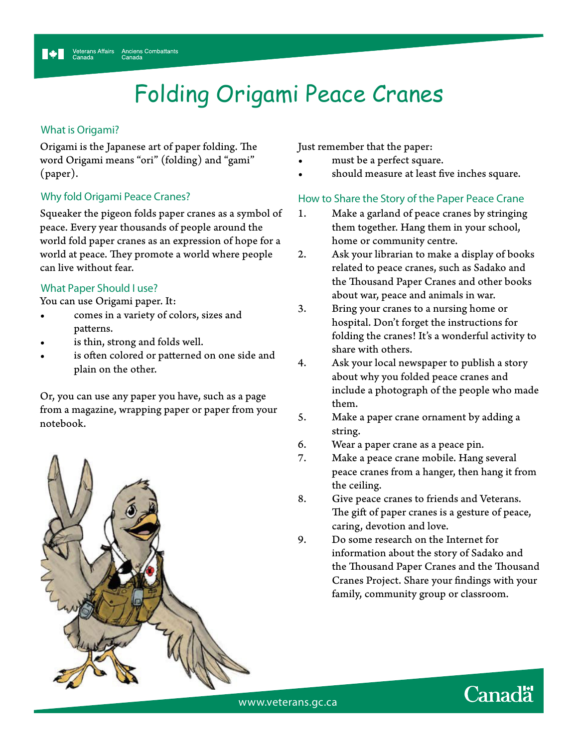# Folding Origami Peace Cranes

### **What is Origami?**

Origami is the Japanese art of paper folding. The word Origami means "ori" (folding) and "gami" (paper).

### **Why fold Origami Peace Cranes?**

Squeaker the pigeon folds paper cranes as a symbol of peace. Every year thousands of people around the world fold paper cranes as an expression of hope for a world at peace. They promote a world where people can live without fear.

### **What Paper Should I use?**

You can use Origami paper. It:

- comes in a variety of colors, sizes and patterns.
- is thin, strong and folds well.
- is often colored or patterned on one side and plain on the other.

Or, you can use any paper you have, such as a page from a magazine, wrapping paper or paper from your notebook.



Just remember that the paper:

- must be a perfect square.
- should measure at least five inches square.

### **How to Share the Story of the Paper Peace Crane**

- 1. Make a garland of peace cranes by stringing them together. Hang them in your school, home or community centre.
- 2. Ask your librarian to make a display of books related to peace cranes, such as Sadako and the Thousand Paper Cranes and other books about war, peace and animals in war.
- 3. Bring your cranes to a nursing home or hospital. Don't forget the instructions for folding the cranes! It's a wonderful activity to share with others.
- 4. Ask your local newspaper to publish a story about why you folded peace cranes and include a photograph of the people who made them.
- 5. Make a paper crane ornament by adding a string.
- 6. Wear a paper crane as a peace pin.
- 7. Make a peace crane mobile. Hang several peace cranes from a hanger, then hang it from the ceiling.
- 8. Give peace cranes to friends and Veterans. The gift of paper cranes is a gesture of peace, caring, devotion and love.
- 9. Do some research on the Internet for information about the story of Sadako and the Thousand Paper Cranes and the Thousand Cranes Project. Share your findings with your family, community group or classroom.

**Canadä** 

www.veterans.gc.ca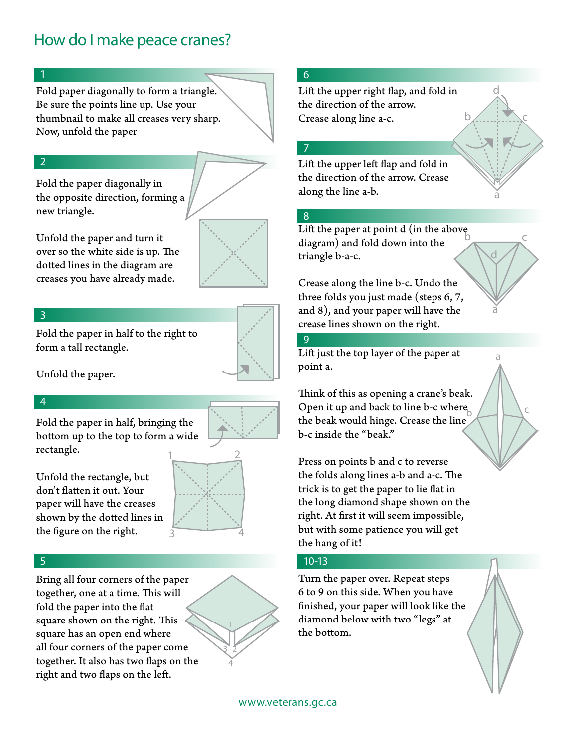## **How do I make peace cranes?**

### **1**

Fold paper diagonally to form a triangle. Be sure the points line up. Use your thumbnail to make all creases very sharp. Now, unfold the paper

### **2**

Fold the paper diagonally in the opposite direction, forming a new triangle.

Unfold the paper and turn it over so the white side is up. The dotted lines in the diagram are creases you have already made.

### **3**

Fold the paper in half to the right to form a tall rectangle.



Unfold the paper.

### **4**

Fold the paper in half, bringing the bottom up to the top to form a wide rectangle.

Unfold the rectangle, but don't flatten it out. Your paper will have the creases shown by the dotted lines in the figure on the right.



**1**

**23 4**

### **5**

Bring all four corners of the paper together, one at a time. This will fold the paper into the flat square shown on the right. This square has an open end where all four corners of the paper come together. It also has two flaps on the right and two flaps on the left.

### **6**

Lift the upper right flap, and fold in the direction of the arrow. Crease along line a-c.

### **7**

Lift the upper left flap and fold in the direction of the arrow. Crease along the line a-b.

### **8**

Lift the paper at point  $d$  (in the above diagram) and fold down into the triangle b-a-c.

Crease along the line b-c. Undo the three folds you just made (steps 6, 7, and 8), and your paper will have the crease lines shown on the right.

### **9**

Lift just the top layer of the paper at point a.

Think of this as opening a crane's beak. Open it up and back to line b-c where the beak would hinge. Crease the line b-c inside the "beak."

Press on points b and c to reverse the folds along lines a-b and a-c. The trick is to get the paper to lie flat in the long diamond shape shown on the right. At first it will seem impossible, but with some patience you will get the hang of it!

### **10-13**

Turn the paper over. Repeat steps 6 to 9 on this side. When you have nished, your paper will look like the diamond below with two "legs" at the bottom.





**a**

**d**

**b** <u>c</u>